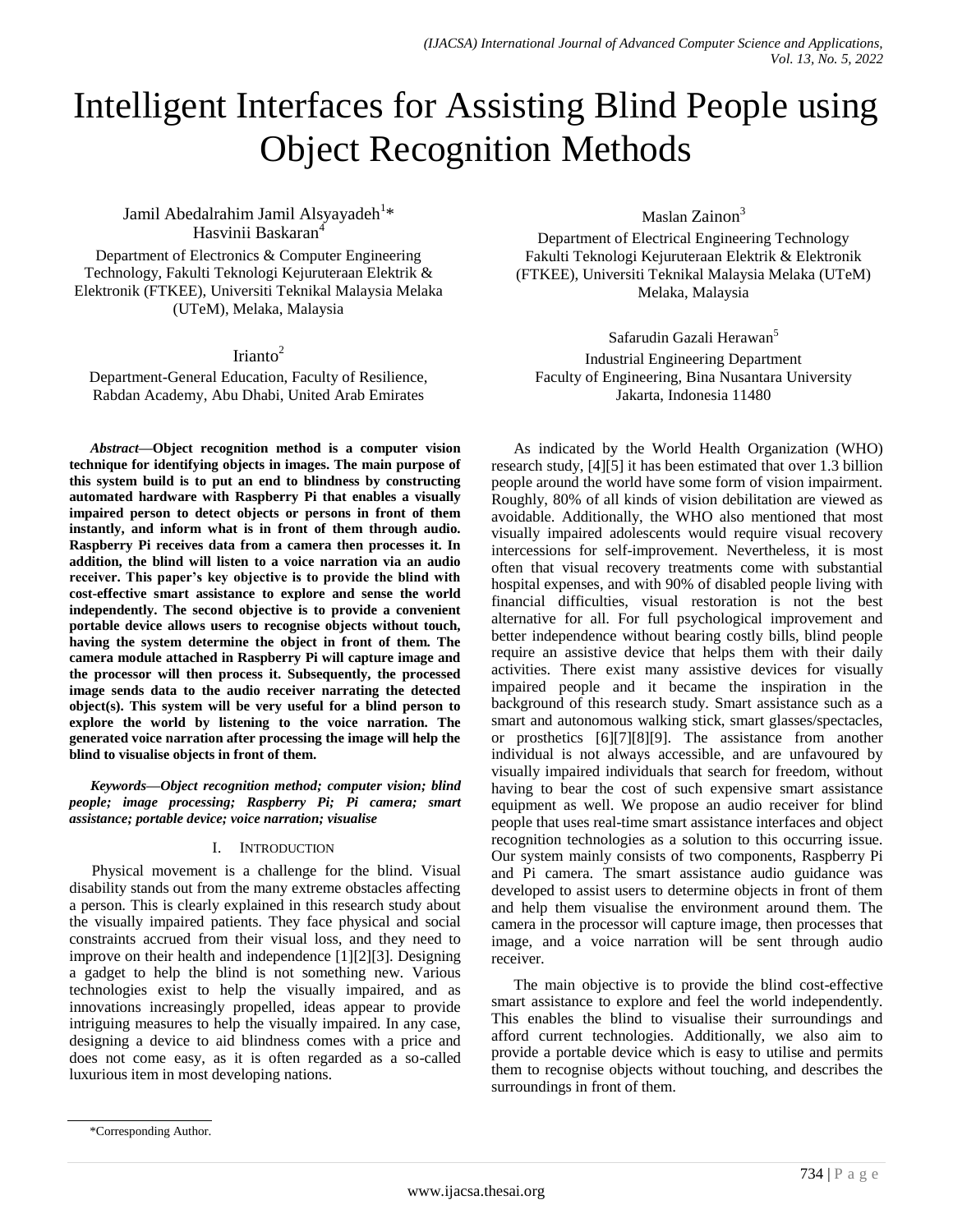# Intelligent Interfaces for Assisting Blind People using Object Recognition Methods

Jamil Abedalrahim Jamil Alsyayadeh<sup>1</sup>\* Hasvinii Baskaran<sup>4</sup>

Department of Electronics & Computer Engineering Technology, Fakulti Teknologi Kejuruteraan Elektrik & Elektronik (FTKEE), Universiti Teknikal Malaysia Melaka (UTeM), Melaka, Malaysia

## Irianto $2$

Department-General Education, Faculty of Resilience, Rabdan Academy, Abu Dhabi, United Arab Emirates

*Abstract***—Object recognition method is a computer vision technique for identifying objects in images. The main purpose of this system build is to put an end to blindness by constructing automated hardware with Raspberry Pi that enables a visually impaired person to detect objects or persons in front of them instantly, and inform what is in front of them through audio. Raspberry Pi receives data from a camera then processes it. In addition, the blind will listen to a voice narration via an audio receiver. This paper's key objective is to provide the blind with cost-effective smart assistance to explore and sense the world independently. The second objective is to provide a convenient portable device allows users to recognise objects without touch, having the system determine the object in front of them. The camera module attached in Raspberry Pi will capture image and the processor will then process it. Subsequently, the processed image sends data to the audio receiver narrating the detected object(s). This system will be very useful for a blind person to explore the world by listening to the voice narration. The generated voice narration after processing the image will help the blind to visualise objects in front of them.**

*Keywords—Object recognition method; computer vision; blind people; image processing; Raspberry Pi; Pi camera; smart assistance; portable device; voice narration; visualise*

#### I. INTRODUCTION

Physical movement is a challenge for the blind. Visual disability stands out from the many extreme obstacles affecting a person. This is clearly explained in this research study about the visually impaired patients. They face physical and social constraints accrued from their visual loss, and they need to improve on their health and independence [1][2][3]. Designing a gadget to help the blind is not something new. Various technologies exist to help the visually impaired, and as innovations increasingly propelled, ideas appear to provide intriguing measures to help the visually impaired. In any case, designing a device to aid blindness comes with a price and does not come easy, as it is often regarded as a so-called luxurious item in most developing nations.

Maslan Zainon<sup>3</sup>

Department of Electrical Engineering Technology Fakulti Teknologi Kejuruteraan Elektrik & Elektronik (FTKEE), Universiti Teknikal Malaysia Melaka (UTeM) Melaka, Malaysia

Safarudin Gazali Herawan<sup>5</sup> Industrial Engineering Department Faculty of Engineering, Bina Nusantara University Jakarta, Indonesia 11480

As indicated by the World Health Organization (WHO) research study, [4][5] it has been estimated that over 1.3 billion people around the world have some form of vision impairment. Roughly, 80% of all kinds of vision debilitation are viewed as avoidable. Additionally, the WHO also mentioned that most visually impaired adolescents would require visual recovery intercessions for self-improvement. Nevertheless, it is most often that visual recovery treatments come with substantial hospital expenses, and with 90% of disabled people living with financial difficulties, visual restoration is not the best alternative for all. For full psychological improvement and better independence without bearing costly bills, blind people require an assistive device that helps them with their daily activities. There exist many assistive devices for visually impaired people and it became the inspiration in the background of this research study. Smart assistance such as a smart and autonomous walking stick, smart glasses/spectacles, or prosthetics [6][7][8][9]. The assistance from another individual is not always accessible, and are unfavoured by visually impaired individuals that search for freedom, without having to bear the cost of such expensive smart assistance equipment as well. We propose an audio receiver for blind people that uses real-time smart assistance interfaces and object recognition technologies as a solution to this occurring issue. Our system mainly consists of two components, Raspberry Pi and Pi camera. The smart assistance audio guidance was developed to assist users to determine objects in front of them and help them visualise the environment around them. The camera in the processor will capture image, then processes that image, and a voice narration will be sent through audio receiver.

The main objective is to provide the blind cost-effective smart assistance to explore and feel the world independently. This enables the blind to visualise their surroundings and afford current technologies. Additionally, we also aim to provide a portable device which is easy to utilise and permits them to recognise objects without touching, and describes the surroundings in front of them.

<sup>\*</sup>Corresponding Author.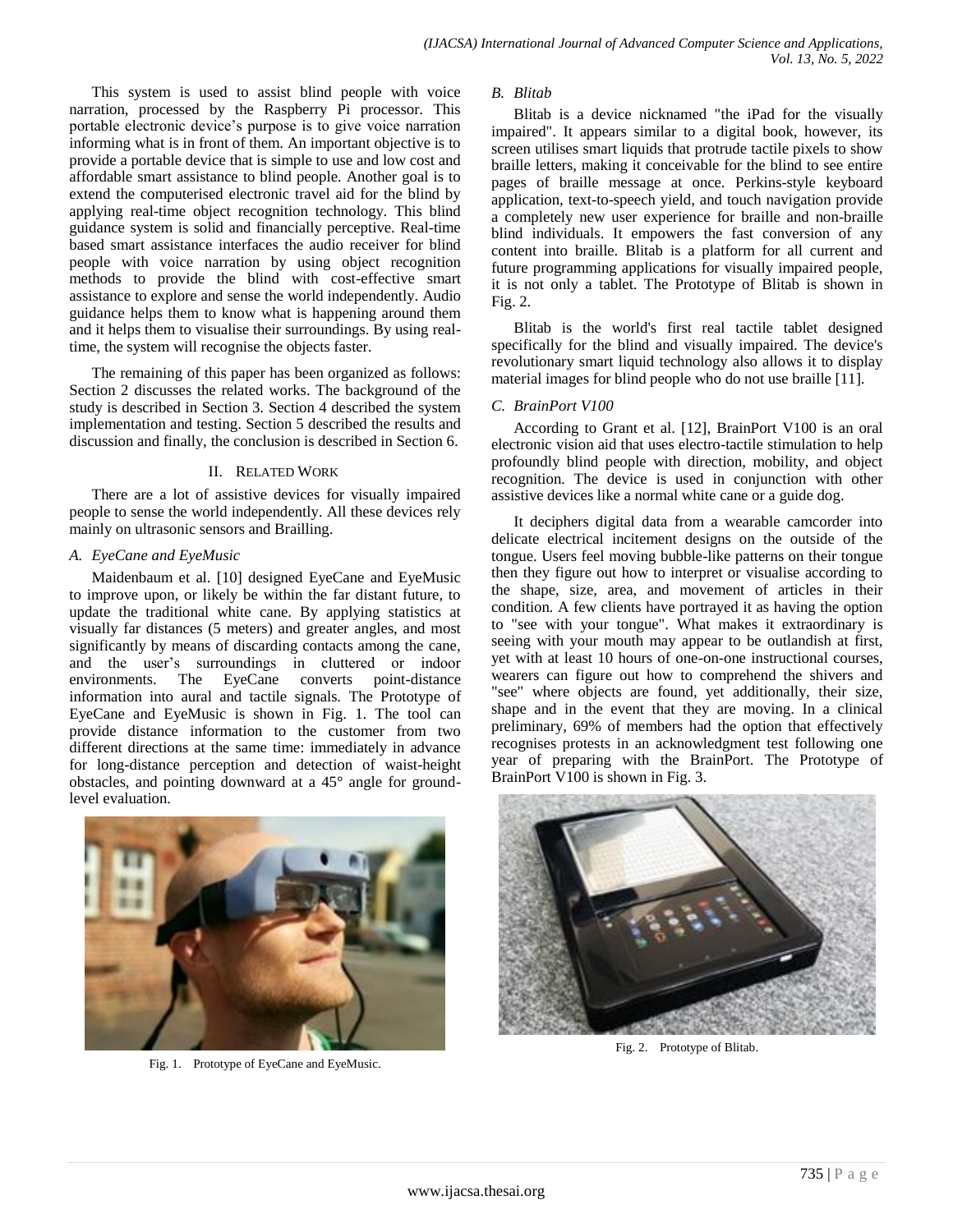This system is used to assist blind people with voice narration, processed by the Raspberry Pi processor. This portable electronic device's purpose is to give voice narration informing what is in front of them. An important objective is to provide a portable device that is simple to use and low cost and affordable smart assistance to blind people. Another goal is to extend the computerised electronic travel aid for the blind by applying real-time object recognition technology. This blind guidance system is solid and financially perceptive. Real-time based smart assistance interfaces the audio receiver for blind people with voice narration by using object recognition methods to provide the blind with cost-effective smart assistance to explore and sense the world independently. Audio guidance helps them to know what is happening around them and it helps them to visualise their surroundings. By using realtime, the system will recognise the objects faster.

The remaining of this paper has been organized as follows: Section 2 discusses the related works. The background of the study is described in Section 3. Section 4 described the system implementation and testing. Section 5 described the results and discussion and finally, the conclusion is described in Section 6.

## II. RELATED WORK

There are a lot of assistive devices for visually impaired people to sense the world independently. All these devices rely mainly on ultrasonic sensors and Brailling.

## *A. EyeCane and EyeMusic*

Maidenbaum et al. [10] designed EyeCane and EyeMusic to improve upon, or likely be within the far distant future, to update the traditional white cane. By applying statistics at visually far distances (5 meters) and greater angles, and most significantly by means of discarding contacts among the cane, and the user's surroundings in cluttered or indoor environments. The EyeCane converts point-distance information into aural and tactile signals. The Prototype of EyeCane and EyeMusic is shown in Fig. 1. The tool can provide distance information to the customer from two different directions at the same time: immediately in advance for long-distance perception and detection of waist-height obstacles, and pointing downward at a 45° angle for groundlevel evaluation.



Fig. 1. Prototype of EyeCane and EyeMusic.

## *B. Blitab*

Blitab is a device nicknamed "the iPad for the visually impaired". It appears similar to a digital book, however, its screen utilises smart liquids that protrude tactile pixels to show braille letters, making it conceivable for the blind to see entire pages of braille message at once. Perkins-style keyboard application, text-to-speech yield, and touch navigation provide a completely new user experience for braille and non-braille blind individuals. It empowers the fast conversion of any content into braille. Blitab is a platform for all current and future programming applications for visually impaired people, it is not only a tablet. The Prototype of Blitab is shown in Fig. 2.

Blitab is the world's first real tactile tablet designed specifically for the blind and visually impaired. The device's revolutionary smart liquid technology also allows it to display material images for blind people who do not use braille [11].

## *C. BrainPort V100*

According to Grant et al. [12], BrainPort V100 is an oral electronic vision aid that uses electro-tactile stimulation to help profoundly blind people with direction, mobility, and object recognition. The device is used in conjunction with other assistive devices like a normal white cane or a guide dog.

It deciphers digital data from a wearable camcorder into delicate electrical incitement designs on the outside of the tongue. Users feel moving bubble-like patterns on their tongue then they figure out how to interpret or visualise according to the shape, size, area, and movement of articles in their condition. A few clients have portrayed it as having the option to "see with your tongue". What makes it extraordinary is seeing with your mouth may appear to be outlandish at first, yet with at least 10 hours of one-on-one instructional courses, wearers can figure out how to comprehend the shivers and "see" where objects are found, yet additionally, their size, shape and in the event that they are moving. In a clinical preliminary, 69% of members had the option that effectively recognises protests in an acknowledgment test following one year of preparing with the BrainPort. The Prototype of BrainPort V100 is shown in Fig. 3.



Fig. 2. Prototype of Blitab.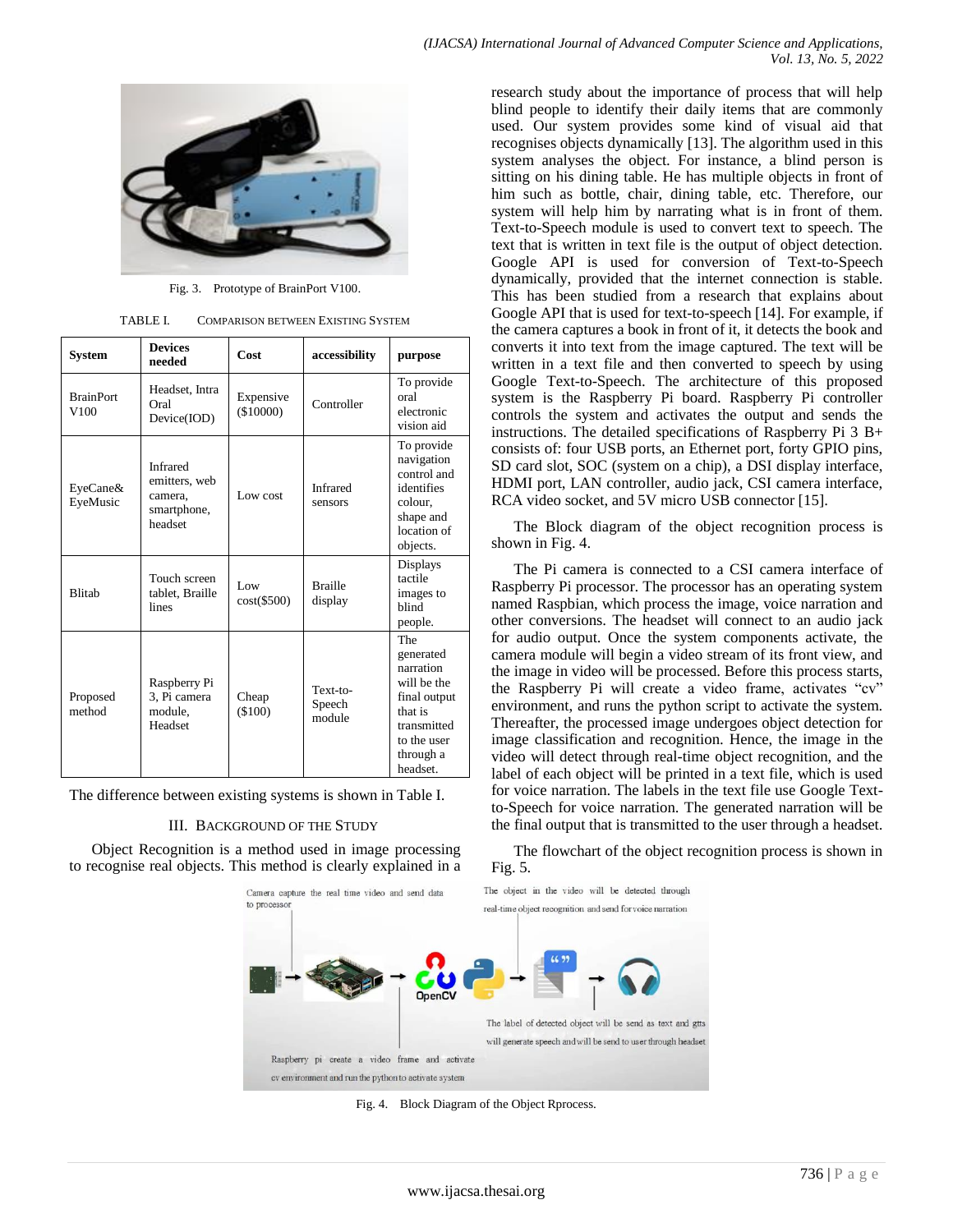

Fig. 3. Prototype of BrainPort V100.

TABLE I. COMPARISON BETWEEN EXISTING SYSTEM

| System                               | <b>Devices</b><br>needed                                              | Cost                   | accessibility                | purpose                                                                                                                        |
|--------------------------------------|-----------------------------------------------------------------------|------------------------|------------------------------|--------------------------------------------------------------------------------------------------------------------------------|
| <b>BrainPort</b><br>V <sub>100</sub> | Headset, Intra<br>Oral<br>Device(IOD)                                 | Expensive<br>(\$10000) | Controller                   | To provide<br>oral<br>electronic<br>vision aid                                                                                 |
| EyeCane&<br>EyeMusic                 | <b>Infrared</b><br>emitters, web<br>camera,<br>smartphone,<br>headset | Low cost               | <b>Infrared</b><br>sensors   | To provide<br>navigation<br>control and<br>identifies<br>colour.<br>shape and<br>location of<br>objects.                       |
| <b>Blitab</b>                        | Touch screen<br>tablet. Braille<br>lines                              | Low<br>$cost(\$500)$   | <b>Braille</b><br>display    | Displays<br>tactile<br>images to<br>blind<br>people.                                                                           |
| Proposed<br>method                   | Raspberry Pi<br>3. Pi camera<br>module,<br>Headset                    | Cheap<br>(\$100)       | Text-to-<br>Speech<br>module | The<br>generated<br>narration<br>will be the<br>final output<br>that is<br>transmitted<br>to the user<br>through a<br>headset. |

The difference between existing systems is shown in Table I.

#### III. BACKGROUND OF THE STUDY

Object Recognition is a method used in image processing to recognise real objects. This method is clearly explained in a



Fig. 4. Block Diagram of the Object Rprocess.

research study about the importance of process that will help blind people to identify their daily items that are commonly used. Our system provides some kind of visual aid that recognises objects dynamically [13]. The algorithm used in this system analyses the object. For instance, a blind person is sitting on his dining table. He has multiple objects in front of him such as bottle, chair, dining table, etc. Therefore, our system will help him by narrating what is in front of them. Text-to-Speech module is used to convert text to speech. The text that is written in text file is the output of object detection. Google API is used for conversion of Text-to-Speech dynamically, provided that the internet connection is stable. This has been studied from a research that explains about Google API that is used for text-to-speech [14]. For example, if the camera captures a book in front of it, it detects the book and converts it into text from the image captured. The text will be written in a text file and then converted to speech by using Google Text-to-Speech. The architecture of this proposed system is the Raspberry Pi board. Raspberry Pi controller controls the system and activates the output and sends the instructions. The detailed specifications of Raspberry Pi 3 B+ consists of: four USB ports, an Ethernet port, forty GPIO pins, SD card slot, SOC (system on a chip), a DSI display interface, HDMI port, LAN controller, audio jack, CSI camera interface, RCA video socket, and 5V micro USB connector [15].

The Block diagram of the object recognition process is shown in Fig. 4.

The Pi camera is connected to a CSI camera interface of Raspberry Pi processor. The processor has an operating system named Raspbian, which process the image, voice narration and other conversions. The headset will connect to an audio jack for audio output. Once the system components activate, the camera module will begin a video stream of its front view, and the image in video will be processed. Before this process starts, the Raspberry Pi will create a video frame, activates "cv" environment, and runs the python script to activate the system. Thereafter, the processed image undergoes object detection for image classification and recognition. Hence, the image in the video will detect through real-time object recognition, and the label of each object will be printed in a text file, which is used for voice narration. The labels in the text file use Google Textto-Speech for voice narration. The generated narration will be the final output that is transmitted to the user through a headset.

The flowchart of the object recognition process is shown in Fig. 5.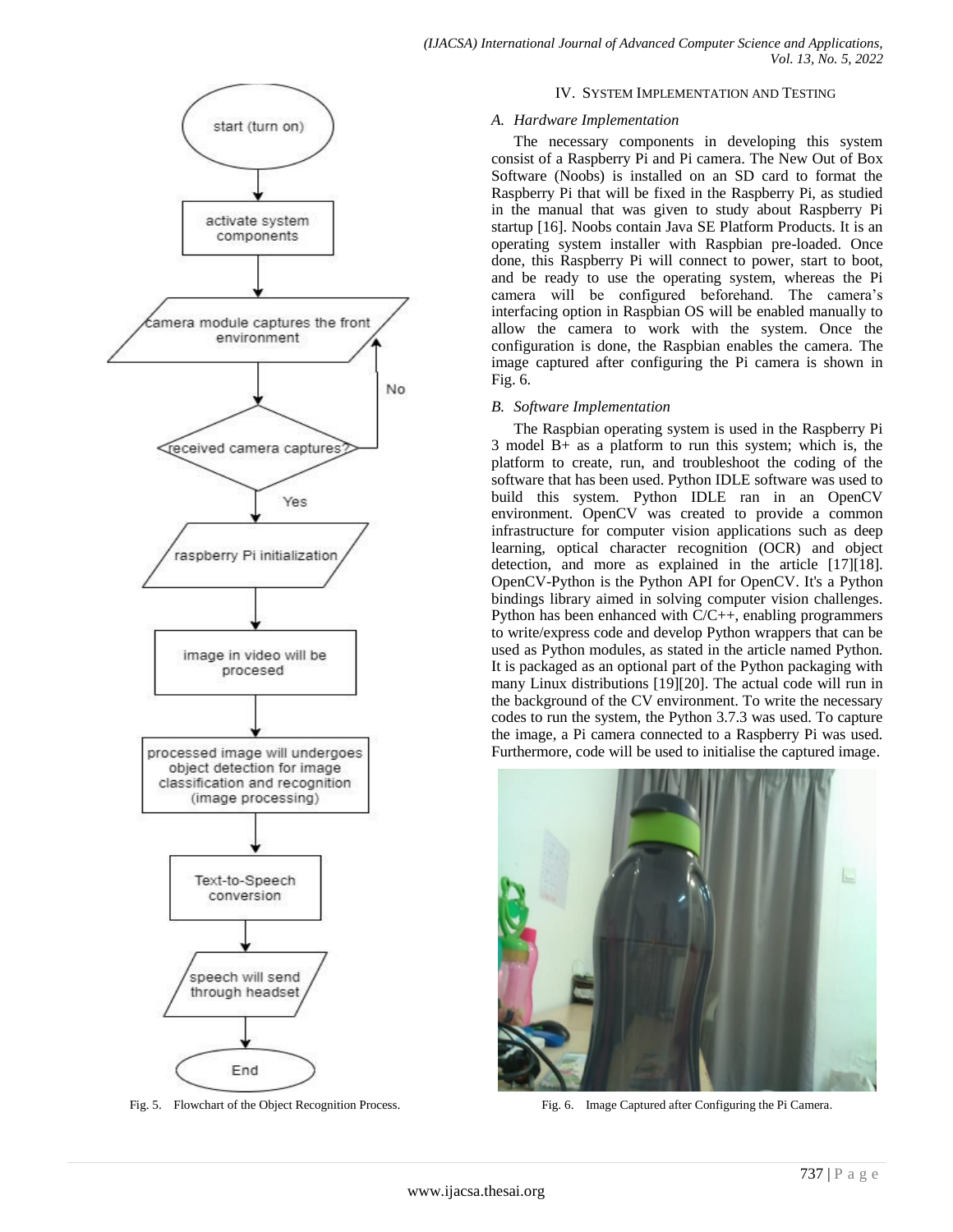

Fig. 5. Flowchart of the Object Recognition Process.

## IV. SYSTEM IMPLEMENTATION AND TESTING

## *A. Hardware Implementation*

The necessary components in developing this system consist of a Raspberry Pi and Pi camera. The New Out of Box Software (Noobs) is installed on an SD card to format the Raspberry Pi that will be fixed in the Raspberry Pi, as studied in the manual that was given to study about Raspberry Pi startup [16]. Noobs contain Java SE Platform Products. It is an operating system installer with Raspbian pre-loaded. Once done, this Raspberry Pi will connect to power, start to boot, and be ready to use the operating system, whereas the Pi camera will be configured beforehand. The camera's interfacing option in Raspbian OS will be enabled manually to allow the camera to work with the system. Once the configuration is done, the Raspbian enables the camera. The image captured after configuring the Pi camera is shown in Fig. 6.

## *B. Software Implementation*

The Raspbian operating system is used in the Raspberry Pi 3 model B+ as a platform to run this system; which is, the platform to create, run, and troubleshoot the coding of the software that has been used. Python IDLE software was used to build this system. Python IDLE ran in an OpenCV environment. OpenCV was created to provide a common infrastructure for computer vision applications such as deep learning, optical character recognition (OCR) and object detection, and more as explained in the article [17][18]. OpenCV-Python is the Python API for OpenCV. It's a Python bindings library aimed in solving computer vision challenges. Python has been enhanced with C/C++, enabling programmers to write/express code and develop Python wrappers that can be used as Python modules, as stated in the article named Python. It is packaged as an optional part of the Python packaging with many Linux distributions [19][20]. The actual code will run in the background of the CV environment. To write the necessary codes to run the system, the Python 3.7.3 was used. To capture the image, a Pi camera connected to a Raspberry Pi was used. Furthermore, code will be used to initialise the captured image.



Fig. 6. Image Captured after Configuring the Pi Camera.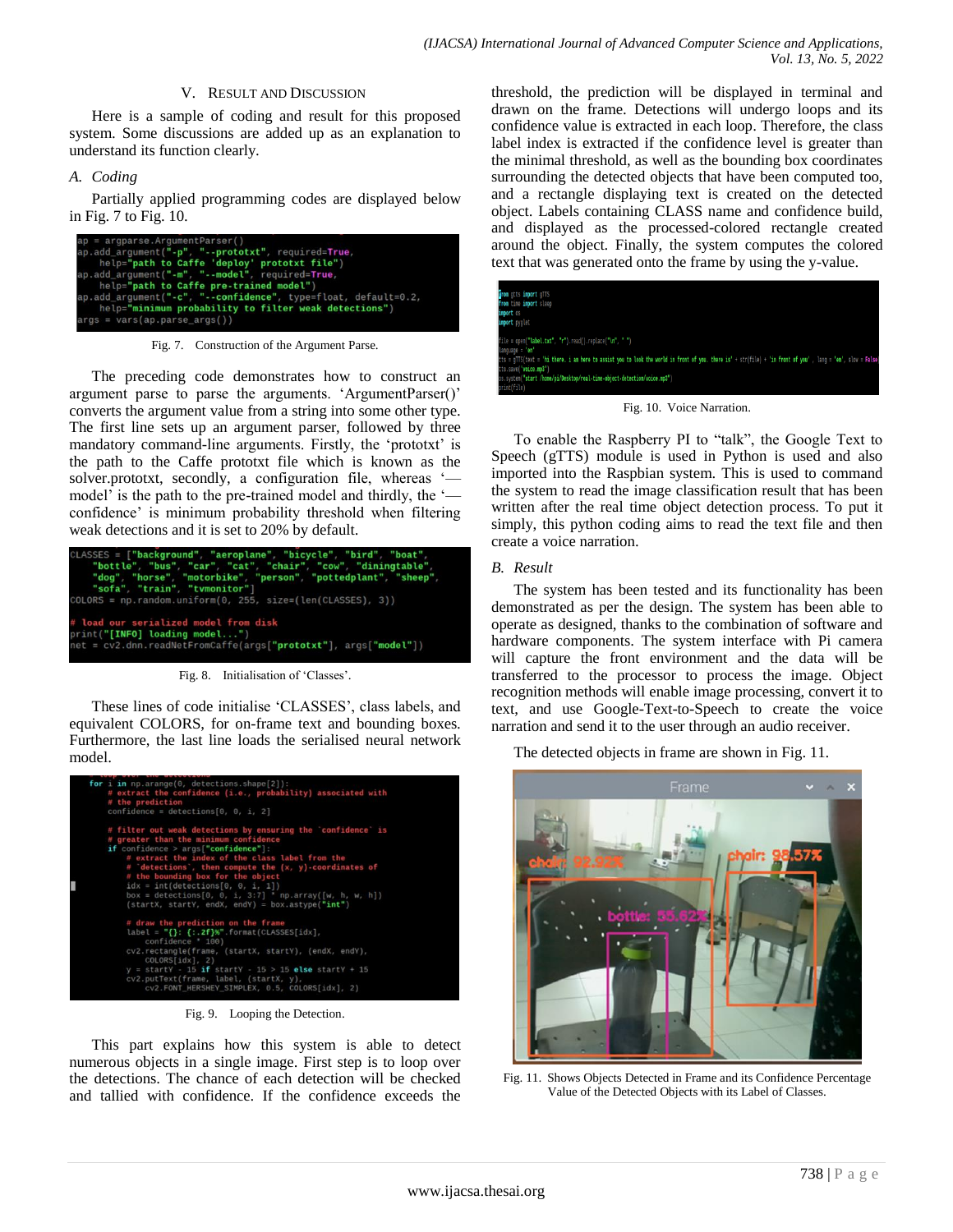#### V. RESULT AND DISCUSSION

Here is a sample of coding and result for this proposed system. Some discussions are added up as an explanation to understand its function clearly.

#### *A. Coding*

Partially applied programming codes are displayed below in Fig. 7 to Fig. 10.

| $ap = argparse.A^rqumentParser()$                                |
|------------------------------------------------------------------|
| ap.add_argument("-p", "--prototxt", required=True,               |
| help="path to Caffe 'deploy' prototxt file")                     |
| ap.add_argument("-m", "--model", required=True,                  |
| help="path to Caffe pre-trained model")                          |
| $ap.add argument("-c", "--confidence", type=float, default=0.2,$ |
| help="minimum probability to filter weak detections")            |
| $args = vars(ap.parse args())$                                   |

Fig. 7. Construction of the Argument Parse.

The preceding code demonstrates how to construct an argument parse to parse the arguments. 'ArgumentParser()' converts the argument value from a string into some other type. The first line sets up an argument parser, followed by three mandatory command-line arguments. Firstly, the 'prototxt' is the path to the Caffe prototxt file which is known as the solver.prototxt, secondly, a configuration file, whereas 'model' is the path to the pre-trained model and thirdly, the 'confidence' is minimum probability threshold when filtering weak detections and it is set to 20% by default.



Fig. 8. Initialisation of 'Classes'.

These lines of code initialise 'CLASSES', class labels, and equivalent COLORS, for on-frame text and bounding boxes. Furthermore, the last line loads the serialised neural network model.



Fig. 9. Looping the Detection.

This part explains how this system is able to detect numerous objects in a single image. First step is to loop over the detections. The chance of each detection will be checked and tallied with confidence. If the confidence exceeds the threshold, the prediction will be displayed in terminal and drawn on the frame. Detections will undergo loops and its confidence value is extracted in each loop. Therefore, the class label index is extracted if the confidence level is greater than the minimal threshold, as well as the bounding box coordinates surrounding the detected objects that have been computed too, and a rectangle displaying text is created on the detected object. Labels containing CLASS name and confidence build, and displayed as the processed-colored rectangle created around the object. Finally, the system computes the colored text that was generated onto the frame by using the y-value.



Fig. 10. Voice Narration.

To enable the Raspberry PI to "talk", the Google Text to Speech (gTTS) module is used in Python is used and also imported into the Raspbian system. This is used to command the system to read the image classification result that has been written after the real time object detection process. To put it simply, this python coding aims to read the text file and then create a voice narration.

## *B. Result*

The system has been tested and its functionality has been demonstrated as per the design. The system has been able to operate as designed, thanks to the combination of software and hardware components. The system interface with Pi camera will capture the front environment and the data will be transferred to the processor to process the image. Object recognition methods will enable image processing, convert it to text, and use Google-Text-to-Speech to create the voice narration and send it to the user through an audio receiver.

The detected objects in frame are shown in Fig. 11.



Fig. 11. Shows Objects Detected in Frame and its Confidence Percentage Value of the Detected Objects with its Label of Classes.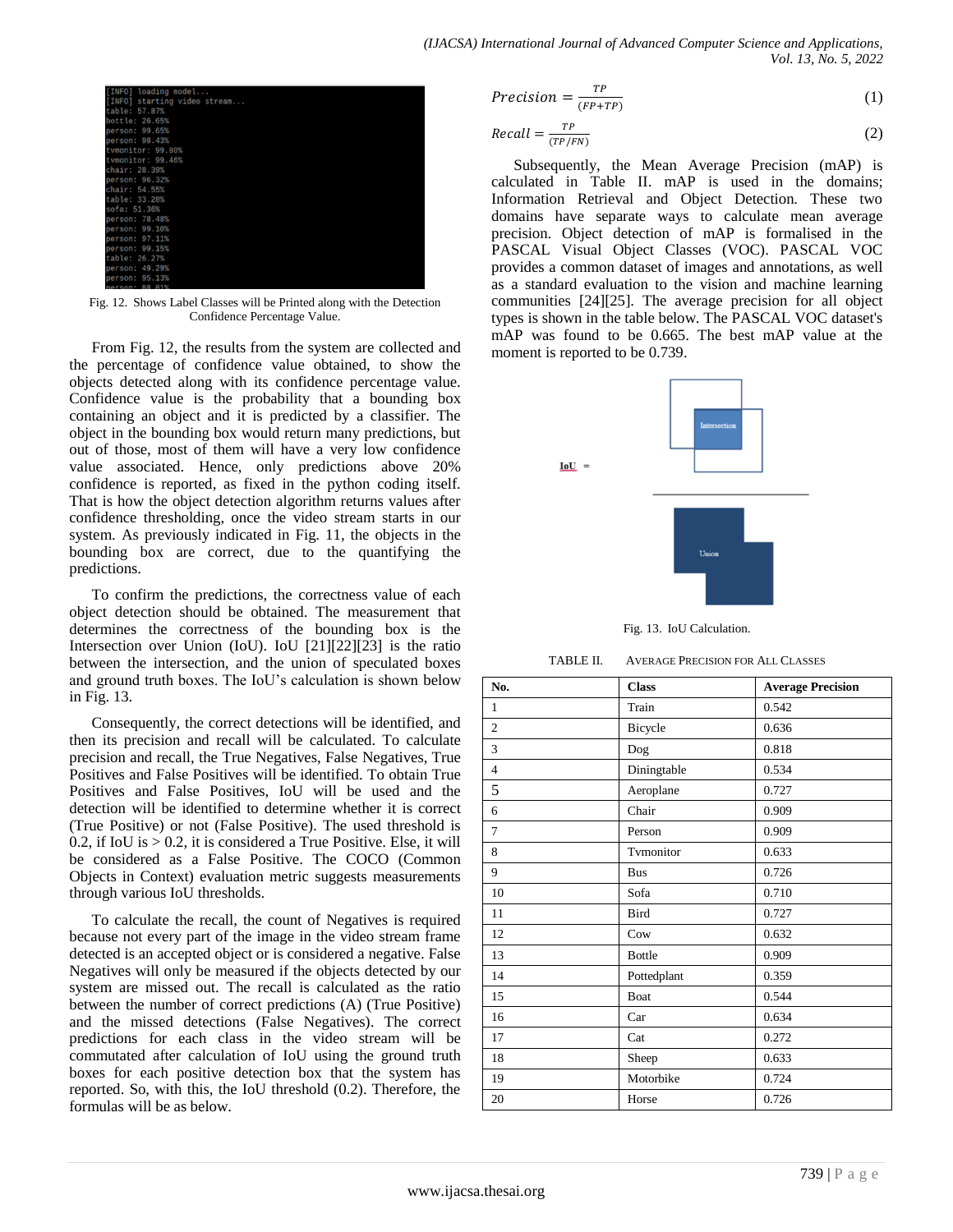

Fig. 12. Shows Label Classes will be Printed along with the Detection Confidence Percentage Value.

From Fig. 12, the results from the system are collected and the percentage of confidence value obtained, to show the objects detected along with its confidence percentage value. Confidence value is the probability that a bounding box containing an object and it is predicted by a classifier. The object in the bounding box would return many predictions, but out of those, most of them will have a very low confidence value associated. Hence, only predictions above 20% confidence is reported, as fixed in the python coding itself. That is how the object detection algorithm returns values after confidence thresholding, once the video stream starts in our system. As previously indicated in Fig. 11, the objects in the bounding box are correct, due to the quantifying the predictions.

To confirm the predictions, the correctness value of each object detection should be obtained. The measurement that determines the correctness of the bounding box is the Intersection over Union (IoU). IoU [21][22][23] is the ratio between the intersection, and the union of speculated boxes and ground truth boxes. The IoU's calculation is shown below in Fig. 13.

Consequently, the correct detections will be identified, and then its precision and recall will be calculated. To calculate precision and recall, the True Negatives, False Negatives, True Positives and False Positives will be identified. To obtain True Positives and False Positives, IoU will be used and the detection will be identified to determine whether it is correct (True Positive) or not (False Positive). The used threshold is 0.2, if IoU is  $> 0.2$ , it is considered a True Positive. Else, it will be considered as a False Positive. The COCO (Common Objects in Context) evaluation metric suggests measurements through various IoU thresholds.

To calculate the recall, the count of Negatives is required because not every part of the image in the video stream frame detected is an accepted object or is considered a negative. False Negatives will only be measured if the objects detected by our system are missed out. The recall is calculated as the ratio between the number of correct predictions (A) (True Positive) and the missed detections (False Negatives). The correct predictions for each class in the video stream will be commutated after calculation of IoU using the ground truth boxes for each positive detection box that the system has reported. So, with this, the IoU threshold (0.2). Therefore, the formulas will be as below.

$$
Precision = \frac{TP}{(FP + TP)}
$$
 (1)

$$
Recall = \frac{TP}{(TP/FN)}\tag{2}
$$

Subsequently, the Mean Average Precision (mAP) is calculated in Table II. mAP is used in the domains; Information Retrieval and Object Detection. These two domains have separate ways to calculate mean average precision. Object detection of mAP is formalised in the PASCAL Visual Object Classes (VOC). PASCAL VOC provides a common dataset of images and annotations, as well as a standard evaluation to the vision and machine learning communities [24][25]. The average precision for all object types is shown in the table below. The PASCAL VOC dataset's mAP was found to be 0.665. The best mAP value at the moment is reported to be 0.739.



Fig. 13. IoU Calculation.

#### TABLE II. AVERAGE PRECISION FOR ALL CLASSES

| No.            | <b>Class</b>  | <b>Average Precision</b> |
|----------------|---------------|--------------------------|
| 1              | Train         | 0.542                    |
| $\overline{2}$ | Bicycle       | 0.636                    |
| 3              | Dog           | 0.818                    |
| $\overline{4}$ | Diningtable   | 0.534                    |
| 5              | Aeroplane     | 0.727                    |
| 6              | Chair         | 0.909                    |
| $\overline{7}$ | Person        | 0.909                    |
| 8              | Tymonitor     | 0.633                    |
| 9              | <b>Bus</b>    | 0.726                    |
| 10             | Sofa          | 0.710                    |
| 11             | Bird          | 0.727                    |
| 12             | Cow           | 0.632                    |
| 13             | <b>Bottle</b> | 0.909                    |
| 14             | Pottedplant   | 0.359                    |
| 15             | Boat          | 0.544                    |
| 16             | Car           | 0.634                    |
| 17             | Cat           | 0.272                    |
| 18             | Sheep         | 0.633                    |
| 19             | Motorbike     | 0.724                    |
| 20             | Horse         | 0.726                    |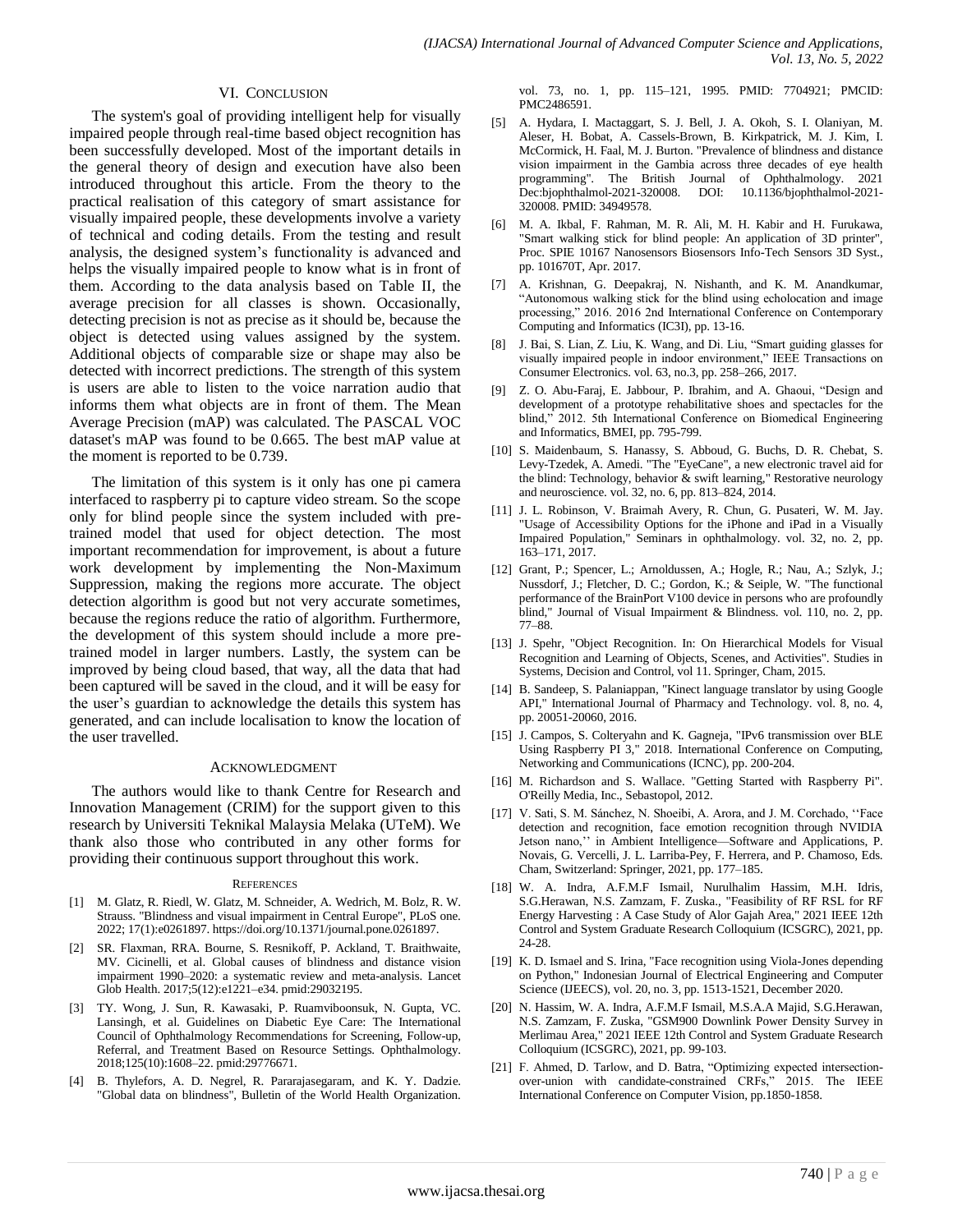#### VI. CONCLUSION

The system's goal of providing intelligent help for visually impaired people through real-time based object recognition has been successfully developed. Most of the important details in the general theory of design and execution have also been introduced throughout this article. From the theory to the practical realisation of this category of smart assistance for visually impaired people, these developments involve a variety of technical and coding details. From the testing and result analysis, the designed system's functionality is advanced and helps the visually impaired people to know what is in front of them. According to the data analysis based on Table II, the average precision for all classes is shown. Occasionally, detecting precision is not as precise as it should be, because the object is detected using values assigned by the system. Additional objects of comparable size or shape may also be detected with incorrect predictions. The strength of this system is users are able to listen to the voice narration audio that informs them what objects are in front of them. The Mean Average Precision (mAP) was calculated. The PASCAL VOC dataset's mAP was found to be 0.665. The best mAP value at the moment is reported to be 0.739.

The limitation of this system is it only has one pi camera interfaced to raspberry pi to capture video stream. So the scope only for blind people since the system included with pretrained model that used for object detection. The most important recommendation for improvement, is about a future work development by implementing the Non-Maximum Suppression, making the regions more accurate. The object detection algorithm is good but not very accurate sometimes, because the regions reduce the ratio of algorithm. Furthermore, the development of this system should include a more pretrained model in larger numbers. Lastly, the system can be improved by being cloud based, that way, all the data that had been captured will be saved in the cloud, and it will be easy for the user's guardian to acknowledge the details this system has generated, and can include localisation to know the location of the user travelled.

#### ACKNOWLEDGMENT

The authors would like to thank Centre for Research and Innovation Management (CRIM) for the support given to this research by Universiti Teknikal Malaysia Melaka (UTeM). We thank also those who contributed in any other forms for providing their continuous support throughout this work.

#### **REFERENCES**

- [1] M. Glatz, R. Riedl, W. Glatz, M. Schneider, A. Wedrich, M. Bolz, R. W. Strauss. "Blindness and visual impairment in Central Europe", PLoS one. 2022; 17(1):e0261897. https://doi.org/10.1371/journal.pone.0261897.
- [2] SR. Flaxman, RRA. Bourne, S. Resnikoff, P. Ackland, T. Braithwaite, MV. Cicinelli, et al. Global causes of blindness and distance vision impairment 1990–2020: a systematic review and meta-analysis. Lancet Glob Health. 2017;5(12):e1221–e34. pmid:29032195.
- [3] TY. Wong, J. Sun, R. Kawasaki, P. Ruamviboonsuk, N. Gupta, VC. Lansingh, et al. Guidelines on Diabetic Eye Care: The International Council of Ophthalmology Recommendations for Screening, Follow-up, Referral, and Treatment Based on Resource Settings. Ophthalmology. 2018;125(10):1608–22. pmid:29776671.
- [4] B. Thylefors, A. D. Negrel, R. Pararajasegaram, and K. Y. Dadzie. "Global data on blindness", Bulletin of the World Health Organization.

vol. 73, no. 1, pp. 115–121, 1995. PMID: 7704921; PMCID: PMC2486591.

- [5] A. Hydara, I. Mactaggart, S. J. Bell, J. A. Okoh, S. I. Olaniyan, M. Aleser, H. Bobat, A. Cassels-Brown, B. Kirkpatrick, M. J. Kim, I. McCormick, H. Faal, M. J. Burton. "Prevalence of blindness and distance vision impairment in the Gambia across three decades of eye health programming". The British Journal of Ophthalmology. 2021 Dec:bjophthalmol-2021-320008. DOI: 10.1136/bjophthalmol-2021- 320008. PMID: 34949578.
- [6] M. A. Ikbal, F. Rahman, M. R. Ali, M. H. Kabir and H. Furukawa, "Smart walking stick for blind people: An application of 3D printer", Proc. SPIE 10167 Nanosensors Biosensors Info-Tech Sensors 3D Syst., pp. 101670T, Apr. 2017.
- [7] A. Krishnan, G. Deepakraj, N. Nishanth, and K. M. Anandkumar, "Autonomous walking stick for the blind using echolocation and image processing," 2016. 2016 2nd International Conference on Contemporary Computing and Informatics (IC3I), pp. 13-16.
- [8] J. Bai, S. Lian, Z. Liu, K. Wang, and Di. Liu, "Smart guiding glasses for visually impaired people in indoor environment," IEEE Transactions on Consumer Electronics. vol. 63, no.3, pp. 258–266, 2017.
- Z. O. Abu-Faraj, E. Jabbour, P. Ibrahim, and A. Ghaoui, "Design and development of a prototype rehabilitative shoes and spectacles for the blind," 2012. 5th International Conference on Biomedical Engineering and Informatics, BMEI, pp. 795-799.
- [10] S. Maidenbaum, S. Hanassy, S. Abboud, G. Buchs, D. R. Chebat, S. Levy-Tzedek, A. Amedi. "The "EyeCane", a new electronic travel aid for the blind: Technology, behavior & swift learning," Restorative neurology and neuroscience. vol. 32, no. 6, pp. 813–824, 2014.
- [11] J. L. Robinson, V. Braimah Avery, R. Chun, G. Pusateri, W. M. Jay. "Usage of Accessibility Options for the iPhone and iPad in a Visually Impaired Population," Seminars in ophthalmology. vol. 32, no. 2, pp. 163–171, 2017.
- [12] Grant, P.; Spencer, L.; Arnoldussen, A.; Hogle, R.; Nau, A.; Szlyk, J.; Nussdorf, J.; Fletcher, D. C.; Gordon, K.; & Seiple, W. "The functional performance of the BrainPort V100 device in persons who are profoundly blind," Journal of Visual Impairment & Blindness. vol. 110, no. 2, pp. 77–88.
- [13] J. Spehr, "Object Recognition. In: On Hierarchical Models for Visual Recognition and Learning of Objects, Scenes, and Activities". Studies in Systems, Decision and Control, vol 11. Springer, Cham, 2015.
- [14] B. Sandeep, S. Palaniappan, "Kinect language translator by using Google API," International Journal of Pharmacy and Technology. vol. 8, no. 4, pp. 20051-20060, 2016.
- [15] J. Campos, S. Colteryahn and K. Gagneja, "IPv6 transmission over BLE Using Raspberry PI 3," 2018. International Conference on Computing, Networking and Communications (ICNC), pp. 200-204.
- [16] M. Richardson and S. Wallace. "Getting Started with Raspberry Pi". O'Reilly Media, Inc., Sebastopol, 2012.
- [17] V. Sati, S. M. Sánchez, N. Shoeibi, A. Arora, and J. M. Corchado, "Face detection and recognition, face emotion recognition through NVIDIA Jetson nano,'' in Ambient Intelligence—Software and Applications, P. Novais, G. Vercelli, J. L. Larriba-Pey, F. Herrera, and P. Chamoso, Eds. Cham, Switzerland: Springer, 2021, pp. 177–185.
- [18] W. A. Indra, A.F.M.F Ismail, Nurulhalim Hassim, M.H. Idris, S.G.Herawan, N.S. Zamzam, F. Zuska., "Feasibility of RF RSL for RF Energy Harvesting : A Case Study of Alor Gajah Area," 2021 IEEE 12th Control and System Graduate Research Colloquium (ICSGRC), 2021, pp. 24-28.
- [19] K. D. Ismael and S. Irina, "Face recognition using Viola-Jones depending on Python," Indonesian Journal of Electrical Engineering and Computer Science (IJEECS), vol. 20, no. 3, pp. 1513-1521, December 2020.
- [20] N. Hassim, W. A. Indra, A.F.M.F Ismail, M.S.A.A Majid, S.G.Herawan, N.S. Zamzam, F. Zuska, "GSM900 Downlink Power Density Survey in Merlimau Area," 2021 IEEE 12th Control and System Graduate Research Colloquium (ICSGRC), 2021, pp. 99-103.
- [21] F. Ahmed, D. Tarlow, and D. Batra, "Optimizing expected intersectionover-union with candidate-constrained CRFs," 2015. The IEEE International Conference on Computer Vision, pp.1850-1858.